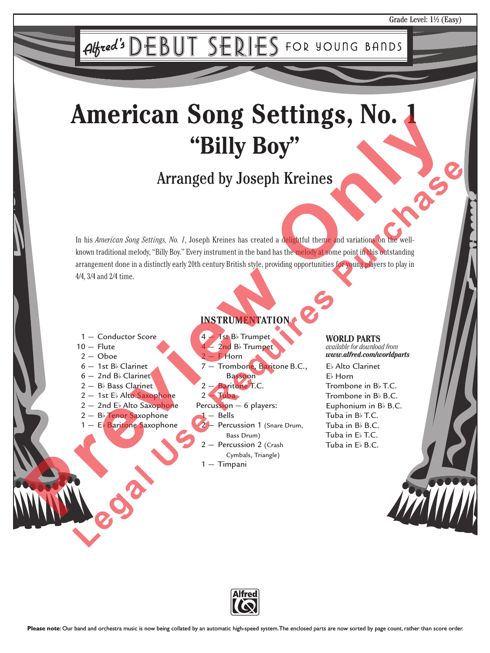## BU T SERIES FOR YOUNG BANDS Alfred's

## American Song Settings, No. **"Billy Boy" Preview Only 2011 By Boy"**<br>
Arranged by Joseph Kreines<br>
In this American Song Series No. 1, beap Keen in constraints<br>
In this American Song Series No. 1, beap Keen in constraints<br>
Arranged by Joseph Kreines<br>
In the Arrang

Arranged by Joseph Kreines

In his *American Song Settings, No. 1*, Joseph Kreines has created a delightful theme and variations on the wellknown traditional melody, "Billy Boy." Every instrument in the band has the melody at some point in this outstanding arrangement done in a distinctly early 20th century British style, providing opportunities for young players to play in 4/4, 3/4 and 2/4 time. Arranged by Joseph Kreines<br>
Legal Agreed Value of the American Straight Web Representations and the New York computer Representations and the New York computer Representations and the New York computer Representations and

- 1 Conductor Score
- $10 -$  Flute
- $2 -$  Oboe
- $6 1$ st B<sub>b</sub> Clarinet
- $6 2$ nd B<sub>b</sub> Clarinet
- $2 B$ <sub>b</sub> Bass Clarinet
- 2 1st El Alto Saxophone
- 2 2nd E<sub>b</sub> Alto Saxophone
	- B<sub>b</sub> Tenor Saxophone
- Eb Baritone Saxophone

## **INSTRUMENTATION**

1st B<sub>b</sub> Trumpet  $-$  2nd Bb Trumpet **F** Horn Trombone, Baritone B.C., Bassoon Baritone T.C.

- 2 Tuba
- Percussion 6 players: - Bells - Percussion 1 (Snare Drum, Bass Drum)
	- 2 Percussion 2 (Crash Cymbals, Triangle) 1 — Timpani

**WORLD PARTS** *available for download from* 

*www.alfred.com/worldparts*

Eb Alto Clarinet Eb Horn Trombone in B<sub>b</sub> T.C. Trombone in B<sub>b</sub> B.C. Euphonium in  $B$ <sub>b</sub> B.C. Tuba in B<sub>b</sub> T.C. Tuba in  $B \flat B.C.$ Tuba in Eb T.C. Tuba in Eb B.C.

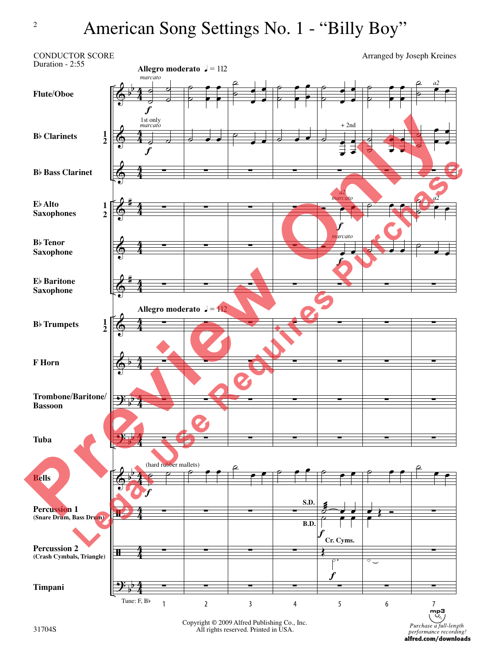## American Song Settings No. 1 - "Billy Boy"



Purchase a full-length<br>!performance recording alfred.com/downloads

2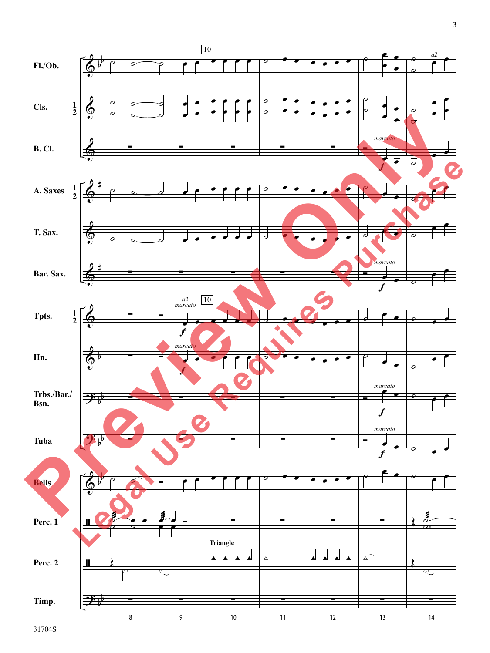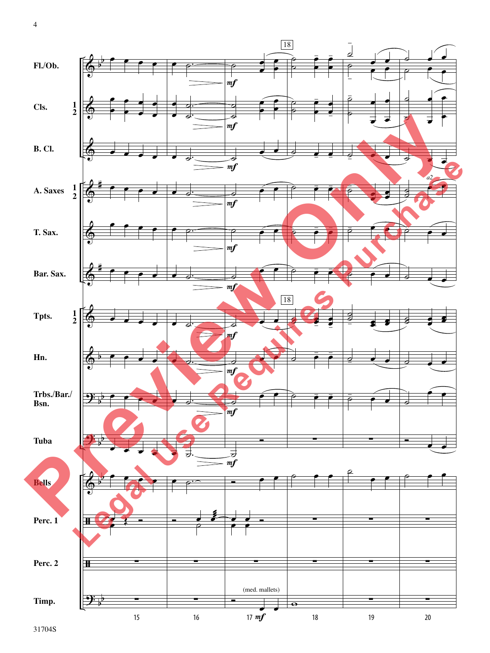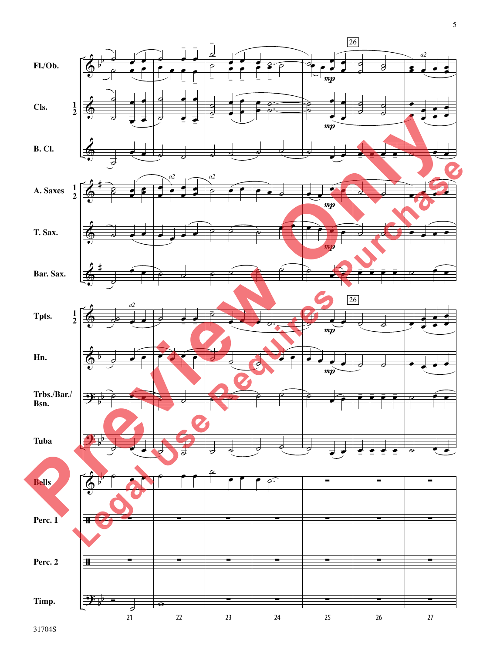

31704S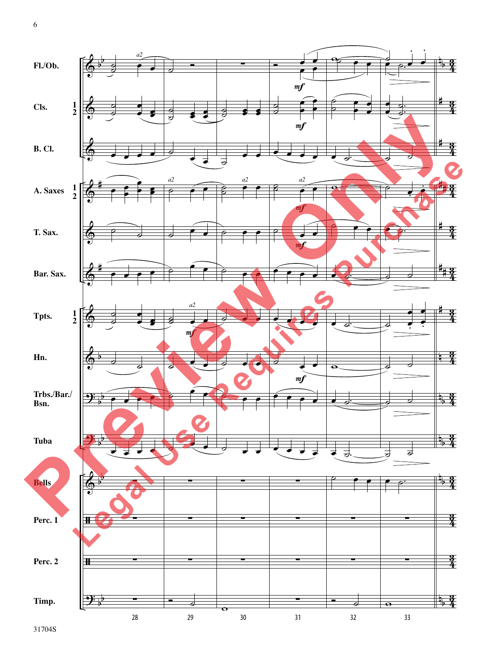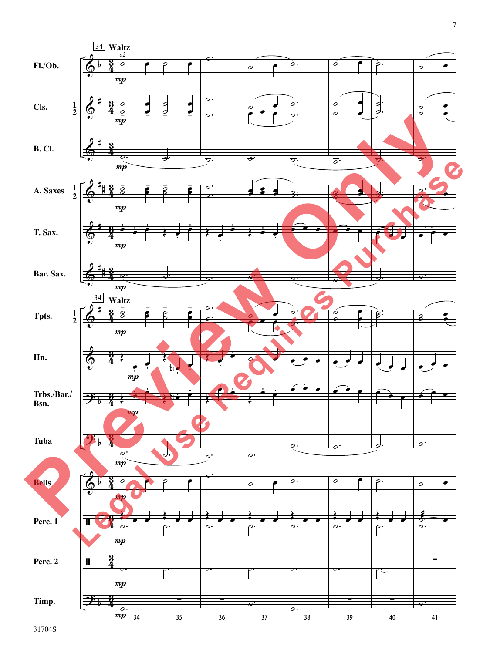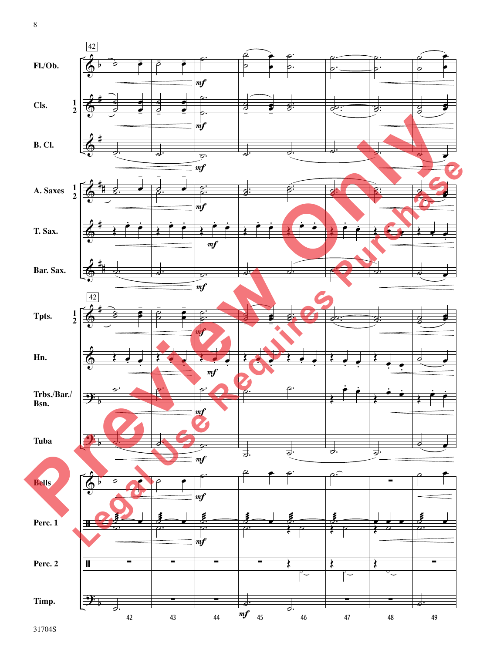$\,8\,$ 

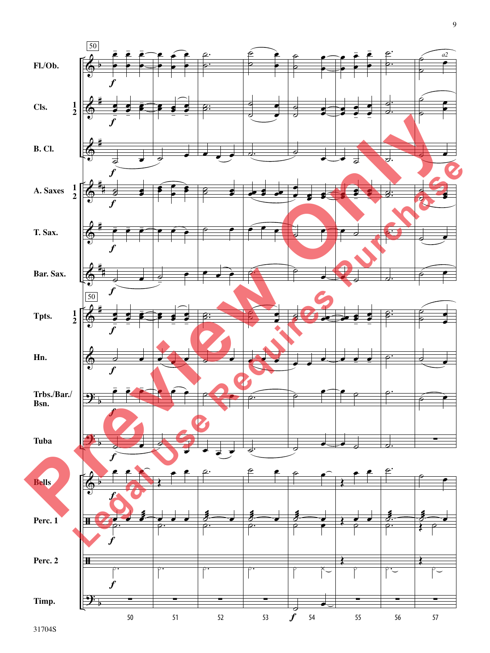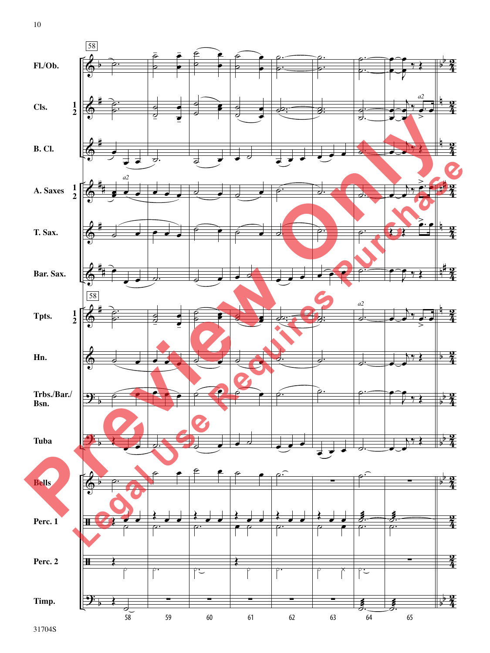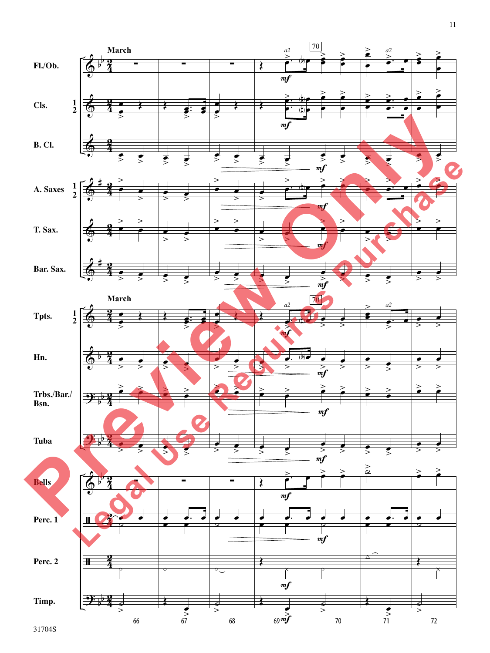

31704S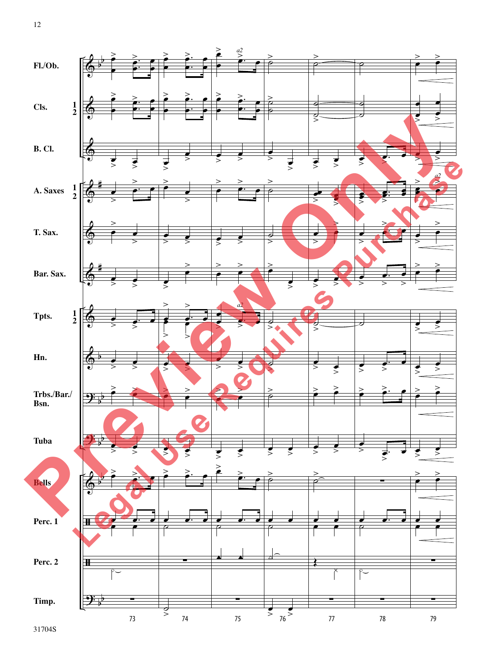



 $75$ 

 $\overline{z}$ 

 $73$ 

 $74$ 

 $\frac{1}{76}$ 

 $\overline{77}$ 

78

79

 $\sum$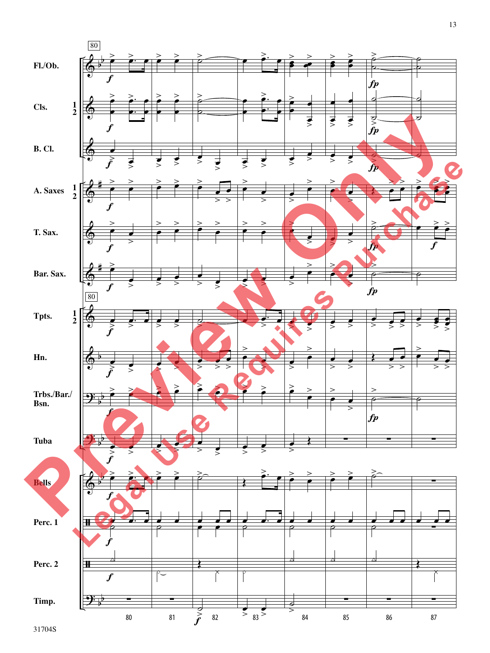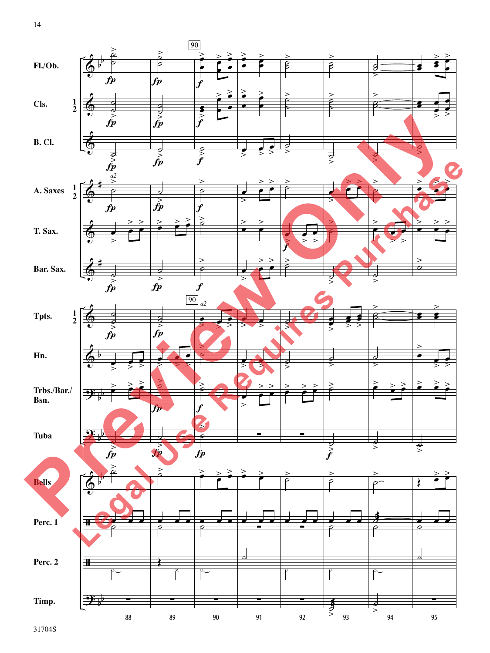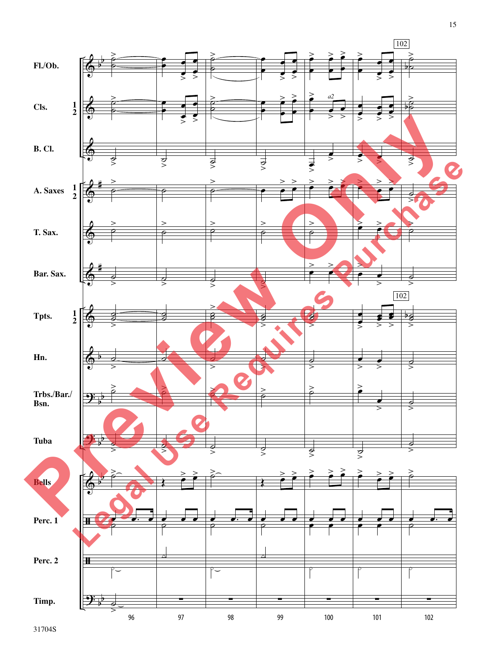